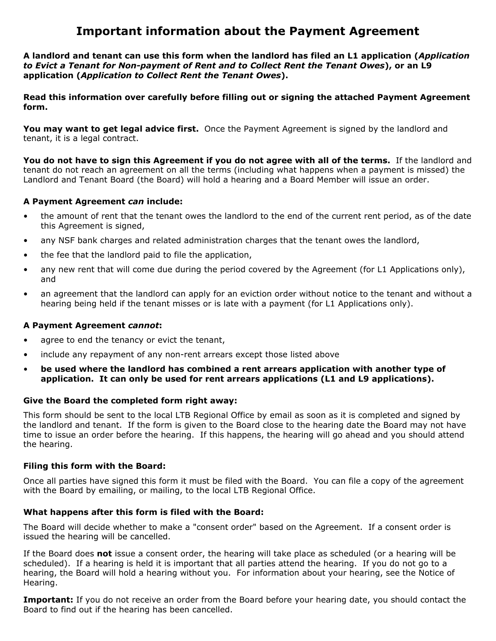# **Important information about the Payment Agreement**

**A landlord and tenant can use this form when the landlord has filed an L1 application (***Application to Evict a Tenant for Non-payment of Rent and to Collect Rent the Tenant Owes***), or an L9 application (***Application to Collect Rent the Tenant Owes***).** 

**Read this information over carefully before filling out or signing the attached Payment Agreement form.** 

You may want to get legal advice first. Once the Payment Agreement is signed by the landlord and tenant, it is a legal contract.

**You do not have to sign this Agreement if you do not agree with all of the terms.** If the landlord and tenant do not reach an agreement on all the terms (including what happens when a payment is missed) the Landlord and Tenant Board (the Board) will hold a hearing and a Board Member will issue an order.

## **A Payment Agreement** *can* **include:**

- the amount of rent that the tenant owes the landlord to the end of the current rent period, as of the date this Agreement is signed,
- any NSF bank charges and related administration charges that the tenant owes the landlord,
- the fee that the landlord paid to file the application,
- any new rent that will come due during the period covered by the Agreement (for L1 Applications only), and
- an agreement that the landlord can apply for an eviction order without notice to the tenant and without a hearing being held if the tenant misses or is late with a payment (for L1 Applications only).

## **A Payment Agreement** *cannot***:**

- agree to end the tenancy or evict the tenant,
- include any repayment of any non-rent arrears except those listed above
- **be used where the landlord has combined a rent arrears application with another type of application. It can only be used for rent arrears applications (L1 and L9 applications).**

## **Give the Board the completed form right away:**

This form should be sent to the local LTB Regional Office by email as soon as it is completed and signed by the landlord and tenant. If the form is given to the Board close to the hearing date the Board may not have time to issue an order before the hearing. If this happens, the hearing will go ahead and you should attend the hearing.

#### **Filing this form with the Board:**

Once all parties have signed this form it must be filed with the Board. You can file a copy of the agreement with the Board by emailing, or mailing, to the local LTB Regional Office.

## **What happens after this form is filed with the Board:**

The Board will decide whether to make a "consent order" based on the Agreement. If a consent order is issued the hearing will be cancelled.

If the Board does **not** issue a consent order, the hearing will take place as scheduled (or a hearing will be scheduled). If a hearing is held it is important that all parties attend the hearing. If you do not go to a hearing, the Board will hold a hearing without you. For information about your hearing, see the Notice of Hearing.

**Important:** If you do not receive an order from the Board before your hearing date, you should contact the Board to find out if the hearing has been cancelled.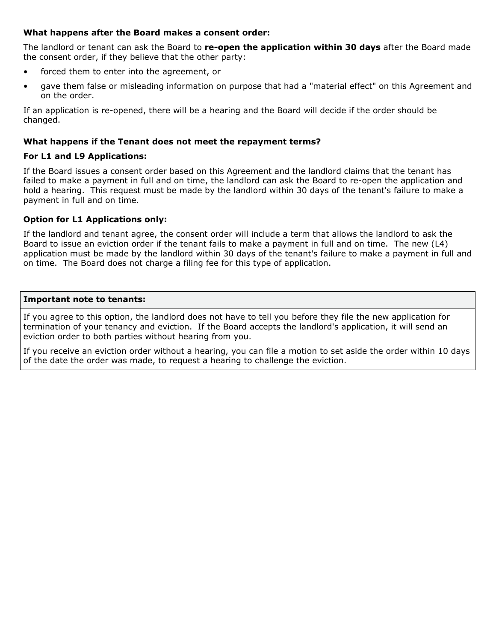# **What happens after the Board makes a consent order:**

The landlord or tenant can ask the Board to **re-open the application within 30 days** after the Board made the consent order, if they believe that the other party:

- forced them to enter into the agreement, or
- gave them false or misleading information on purpose that had a "material effect" on this Agreement and on the order.

If an application is re-opened, there will be a hearing and the Board will decide if the order should be changed.

# **What happens if the Tenant does not meet the repayment terms?**

# **For L1 and L9 Applications:**

If the Board issues a consent order based on this Agreement and the landlord claims that the tenant has failed to make a payment in full and on time, the landlord can ask the Board to re-open the application and hold a hearing. This request must be made by the landlord within 30 days of the tenant's failure to make a payment in full and on time.

# **Option for L1 Applications only:**

If the landlord and tenant agree, the consent order will include a term that allows the landlord to ask the Board to issue an eviction order if the tenant fails to make a payment in full and on time. The new (L4) application must be made by the landlord within 30 days of the tenant's failure to make a payment in full and on time. The Board does not charge a filing fee for this type of application.

### **Important note to tenants:**

If you agree to this option, the landlord does not have to tell you before they file the new application for termination of your tenancy and eviction. If the Board accepts the landlord's application, it will send an eviction order to both parties without hearing from you.

If you receive an eviction order without a hearing, you can file a motion to set aside the order within 10 days of the date the order was made, to request a hearing to challenge the eviction.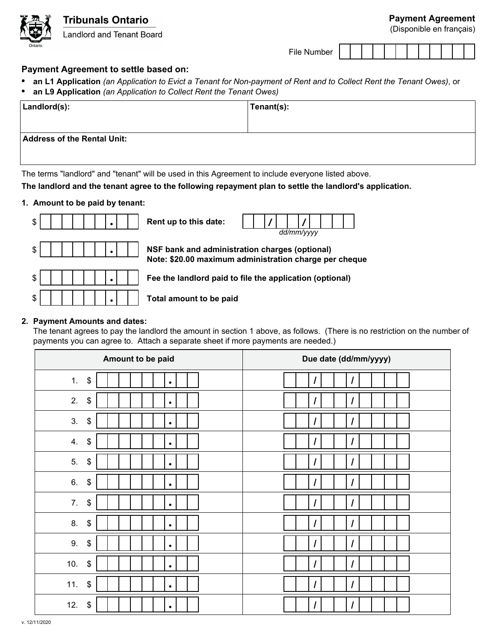

(Disponible en français)

| ∙ile<br>Number |  |  |  |  |  |  |  |  |  |  |  |  |
|----------------|--|--|--|--|--|--|--|--|--|--|--|--|
|----------------|--|--|--|--|--|--|--|--|--|--|--|--|

# **Payment Agreement to settle based on:**

- **• an L1 Application** *(an Application to Evict a Tenant for Non-payment of Rent and to Collect Rent the Tenant Owes)*, or
- **• an L9 Application** *(an Application to Collect Rent the Tenant Owes)*

| Landlord(s):                       | Tenant(s): |
|------------------------------------|------------|
|                                    |            |
| <b>Address of the Rental Unit:</b> |            |
|                                    |            |

The terms "landlord" and "tenant" will be used in this Agreement to include everyone listed above.

**The landlord and the tenant agree to the following repayment plan to settle the landlord's application.**

## **1. Amount to be paid by tenant:**



*dd/mm/yyyy*

**/ /**

**Note: \$20.00 maximum administration charge per cheque** 

\$ **• Fee the landlord paid to file the application (optional)**

# **2. Payment Amounts and dates:**

The tenant agrees to pay the landlord the amount in section 1 above, as follows. (There is no restriction on the number of payments you can agree to. Attach a separate sheet if more payments are needed.)

| Amount to be paid                     | Due date (dd/mm/yyyy)            |  |  |  |  |  |
|---------------------------------------|----------------------------------|--|--|--|--|--|
| 1.<br>$\pmb{\$}$<br>$\bullet$         | $\overline{I}$                   |  |  |  |  |  |
| 2.<br>$\pmb{\$}$<br>$\bullet$         | $\overline{I}$                   |  |  |  |  |  |
| 3.<br>\$<br>$\bullet$                 | $\overline{I}$<br>$\prime$       |  |  |  |  |  |
| \$<br>4.<br>$\bullet$                 | $\overline{I}$<br>$\overline{I}$ |  |  |  |  |  |
| 5.<br>\$<br>$\bullet$                 | $\prime$                         |  |  |  |  |  |
| 6.<br>$\boldsymbol{\$}$<br>$\bullet$  | $\prime$                         |  |  |  |  |  |
| 7.<br>\$<br>$\bullet$                 | $\overline{I}$                   |  |  |  |  |  |
| 8.<br>\$<br>$\bullet$                 | $\prime$<br>$\overline{I}$       |  |  |  |  |  |
| 9.<br>\$<br>$\bullet$                 | $\prime$<br>$\prime$             |  |  |  |  |  |
| 10.<br>\$<br>$\bullet$                | $\overline{\phantom{a}}$         |  |  |  |  |  |
| 11.<br>\$<br>$\bullet$                | $\overline{I}$                   |  |  |  |  |  |
| 12.<br>$\boldsymbol{\$}$<br>$\bullet$ | $\overline{\phantom{a}}$         |  |  |  |  |  |